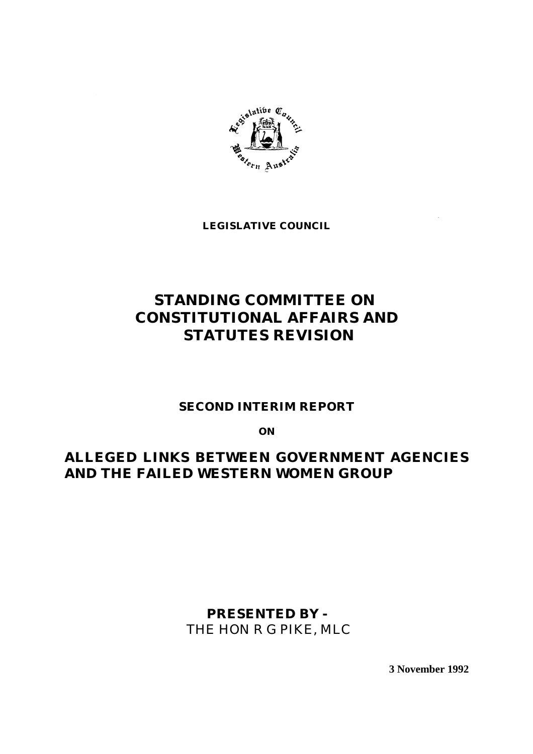

**LEGISLATIVE COUNCIL**

## **STANDING COMMITTEE ON CONSTITUTIONAL AFFAIRS AND STATUTES REVISION**

### **SECOND INTERIM REPORT**

**ON**

## **ALLEGED LINKS BETWEEN GOVERNMENT AGENCIES AND THE FAILED WESTERN WOMEN GROUP**

**PRESENTED BY -** THE HON R G PIKE, MLC

**3 November 1992**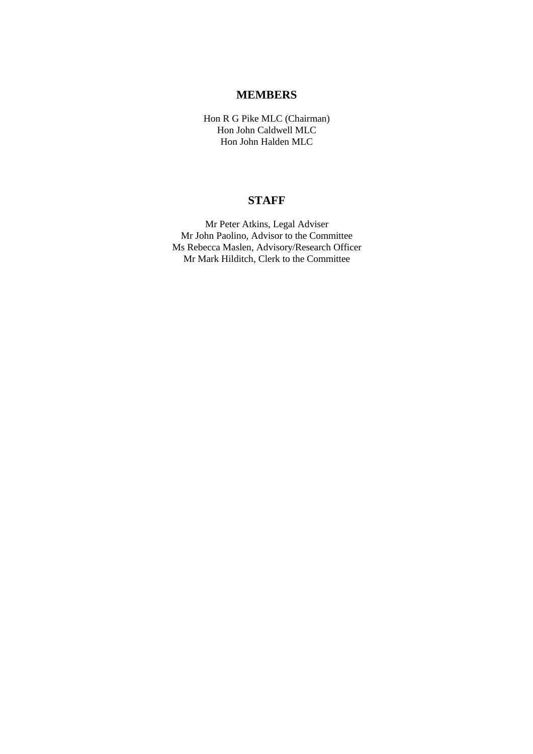#### **MEMBERS**

Hon R G Pike MLC (Chairman) Hon John Caldwell MLC Hon John Halden MLC

#### **STAFF**

Mr Peter Atkins, Legal Adviser Mr John Paolino, Advisor to the Committee Ms Rebecca Maslen, Advisory/Research Officer Mr Mark Hilditch, Clerk to the Committee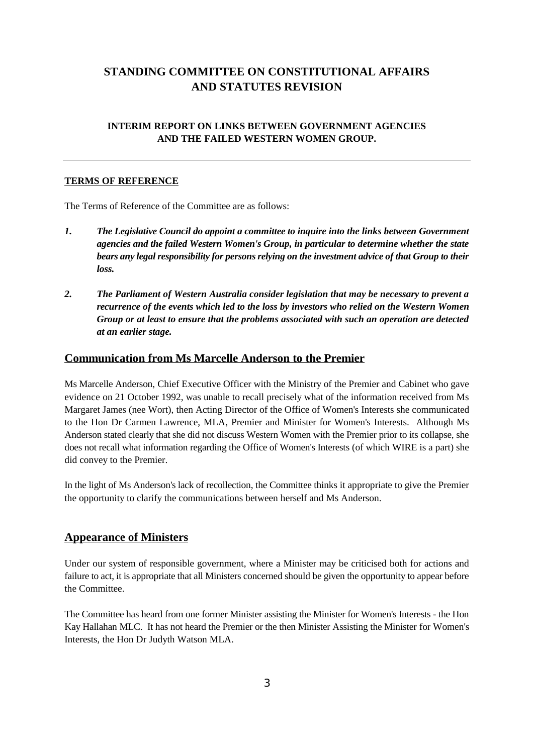## **STANDING COMMITTEE ON CONSTITUTIONAL AFFAIRS AND STATUTES REVISION**

#### **INTERIM REPORT ON LINKS BETWEEN GOVERNMENT AGENCIES AND THE FAILED WESTERN WOMEN GROUP.**

#### **TERMS OF REFERENCE**

The Terms of Reference of the Committee are as follows:

- *1. The Legislative Council do appoint a committee to inquire into the links between Government agencies and the failed Western Women's Group, in particular to determine whether the state bears any legal responsibility for persons relying on the investment advice of that Group to their loss.*
- *2. The Parliament of Western Australia consider legislation that may be necessary to prevent a recurrence of the events which led to the loss by investors who relied on the Western Women Group or at least to ensure that the problems associated with such an operation are detected at an earlier stage.*

#### **Communication from Ms Marcelle Anderson to the Premier**

Ms Marcelle Anderson, Chief Executive Officer with the Ministry of the Premier and Cabinet who gave evidence on 21 October 1992, was unable to recall precisely what of the information received from Ms Margaret James (nee Wort), then Acting Director of the Office of Women's Interests she communicated to the Hon Dr Carmen Lawrence, MLA, Premier and Minister for Women's Interests. Although Ms Anderson stated clearly that she did not discuss Western Women with the Premier prior to its collapse, she does not recall what information regarding the Office of Women's Interests (of which WIRE is a part) she did convey to the Premier.

In the light of Ms Anderson's lack of recollection, the Committee thinks it appropriate to give the Premier the opportunity to clarify the communications between herself and Ms Anderson.

#### **Appearance of Ministers**

Under our system of responsible government, where a Minister may be criticised both for actions and failure to act, it is appropriate that all Ministers concerned should be given the opportunity to appear before the Committee.

The Committee has heard from one former Minister assisting the Minister for Women's Interests - the Hon Kay Hallahan MLC. It has not heard the Premier or the then Minister Assisting the Minister for Women's Interests, the Hon Dr Judyth Watson MLA.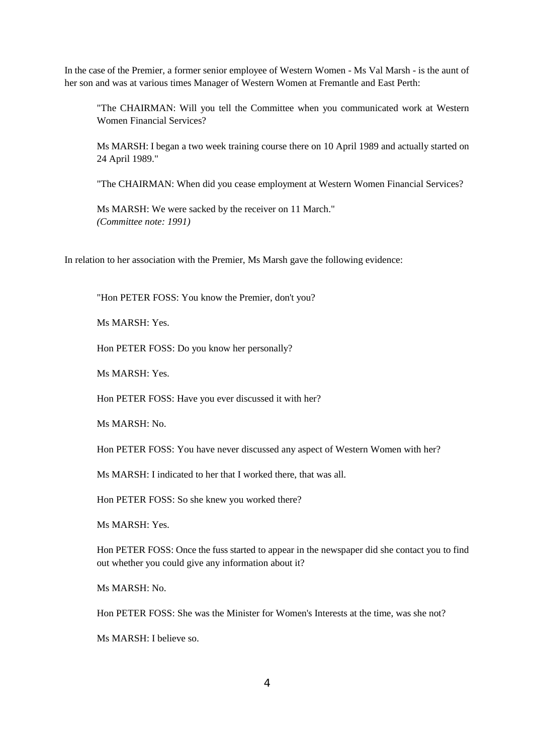In the case of the Premier, a former senior employee of Western Women - Ms Val Marsh - is the aunt of her son and was at various times Manager of Western Women at Fremantle and East Perth:

"The CHAIRMAN: Will you tell the Committee when you communicated work at Western Women Financial Services?

Ms MARSH: I began a two week training course there on 10 April 1989 and actually started on 24 April 1989."

"The CHAIRMAN: When did you cease employment at Western Women Financial Services?

Ms MARSH: We were sacked by the receiver on 11 March." *(Committee note: 1991)*

In relation to her association with the Premier, Ms Marsh gave the following evidence:

"Hon PETER FOSS: You know the Premier, don't you?

Ms MARSH: Yes.

Hon PETER FOSS: Do you know her personally?

Ms MARSH: Yes.

Hon PETER FOSS: Have you ever discussed it with her?

Ms MARSH: No.

Hon PETER FOSS: You have never discussed any aspect of Western Women with her?

Ms MARSH: I indicated to her that I worked there, that was all.

Hon PETER FOSS: So she knew you worked there?

Ms MARSH: Yes.

Hon PETER FOSS: Once the fuss started to appear in the newspaper did she contact you to find out whether you could give any information about it?

Ms MARSH: No.

Hon PETER FOSS: She was the Minister for Women's Interests at the time, was she not?

Ms MARSH: I believe so.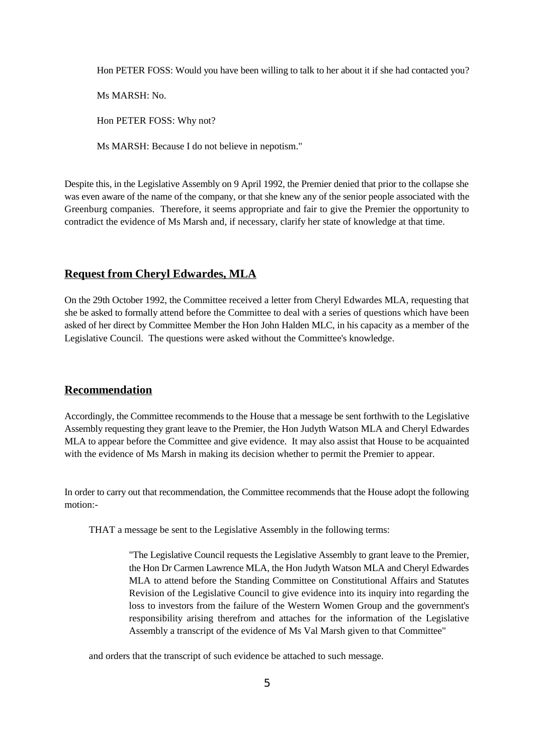Hon PETER FOSS: Would you have been willing to talk to her about it if she had contacted you?

Ms MARSH: No.

Hon PETER FOSS: Why not?

Ms MARSH: Because I do not believe in nepotism."

Despite this, in the Legislative Assembly on 9 April 1992, the Premier denied that prior to the collapse she was even aware of the name of the company, or that she knew any of the senior people associated with the Greenburg companies. Therefore, it seems appropriate and fair to give the Premier the opportunity to contradict the evidence of Ms Marsh and, if necessary, clarify her state of knowledge at that time.

#### **Request from Cheryl Edwardes, MLA**

On the 29th October 1992, the Committee received a letter from Cheryl Edwardes MLA, requesting that she be asked to formally attend before the Committee to deal with a series of questions which have been asked of her direct by Committee Member the Hon John Halden MLC, in his capacity as a member of the Legislative Council. The questions were asked without the Committee's knowledge.

#### **Recommendation**

Accordingly, the Committee recommends to the House that a message be sent forthwith to the Legislative Assembly requesting they grant leave to the Premier, the Hon Judyth Watson MLA and Cheryl Edwardes MLA to appear before the Committee and give evidence. It may also assist that House to be acquainted with the evidence of Ms Marsh in making its decision whether to permit the Premier to appear.

In order to carry out that recommendation, the Committee recommends that the House adopt the following motion:-

THAT a message be sent to the Legislative Assembly in the following terms:

"The Legislative Council requests the Legislative Assembly to grant leave to the Premier, the Hon Dr Carmen Lawrence MLA, the Hon Judyth Watson MLA and Cheryl Edwardes MLA to attend before the Standing Committee on Constitutional Affairs and Statutes Revision of the Legislative Council to give evidence into its inquiry into regarding the loss to investors from the failure of the Western Women Group and the government's responsibility arising therefrom and attaches for the information of the Legislative Assembly a transcript of the evidence of Ms Val Marsh given to that Committee"

and orders that the transcript of such evidence be attached to such message.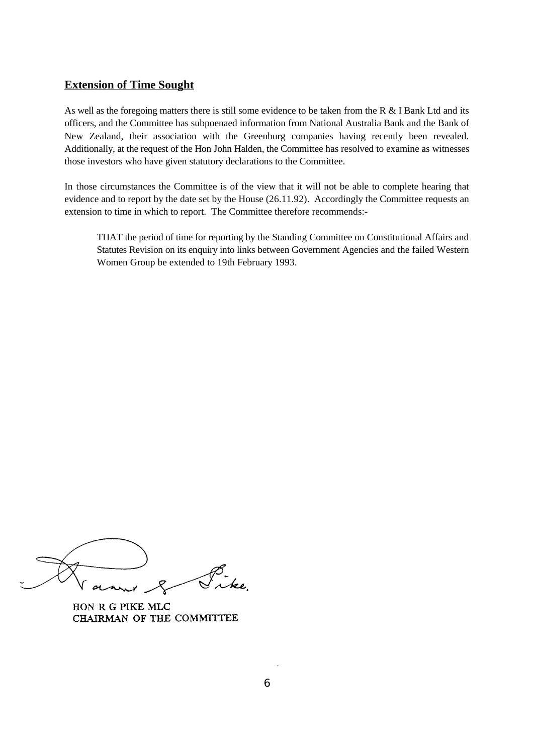#### **Extension of Time Sought**

As well as the foregoing matters there is still some evidence to be taken from the R & I Bank Ltd and its officers, and the Committee has subpoenaed information from National Australia Bank and the Bank of New Zealand, their association with the Greenburg companies having recently been revealed. Additionally, at the request of the Hon John Halden, the Committee has resolved to examine as witnesses those investors who have given statutory declarations to the Committee.

In those circumstances the Committee is of the view that it will not be able to complete hearing that evidence and to report by the date set by the House (26.11.92). Accordingly the Committee requests an extension to time in which to report. The Committee therefore recommends:-

THAT the period of time for reporting by the Standing Committee on Constitutional Affairs and Statutes Revision on its enquiry into links between Government Agencies and the failed Western Women Group be extended to 19th February 1993.

HON R G PIKE MLC CHAIRMAN OF THE COMMITTEE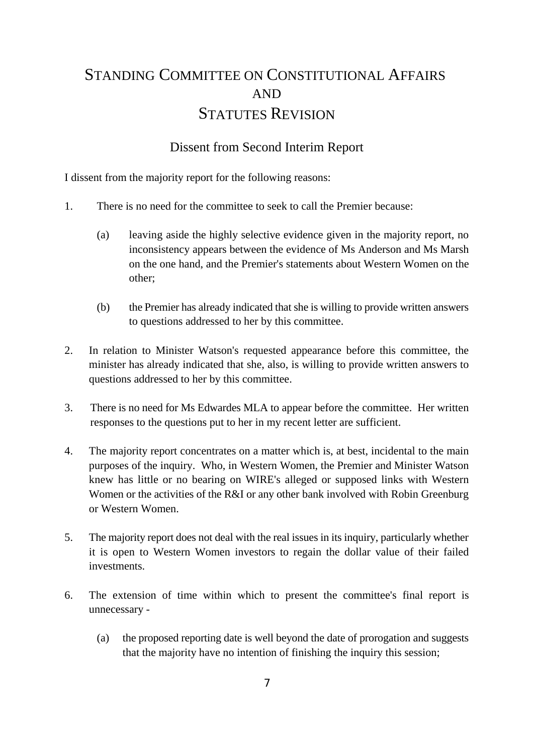# STANDING COMMITTEE ON CONSTITUTIONAL AFFAIRS AND STATUTES REVISION

## Dissent from Second Interim Report

I dissent from the majority report for the following reasons:

- 1. There is no need for the committee to seek to call the Premier because:
	- (a) leaving aside the highly selective evidence given in the majority report, no inconsistency appears between the evidence of Ms Anderson and Ms Marsh on the one hand, and the Premier's statements about Western Women on the other;
	- (b) the Premier has already indicated that she is willing to provide written answers to questions addressed to her by this committee.
- 2. In relation to Minister Watson's requested appearance before this committee, the minister has already indicated that she, also, is willing to provide written answers to questions addressed to her by this committee.
- 3. There is no need for Ms Edwardes MLA to appear before the committee. Her written responses to the questions put to her in my recent letter are sufficient.
- 4. The majority report concentrates on a matter which is, at best, incidental to the main purposes of the inquiry. Who, in Western Women, the Premier and Minister Watson knew has little or no bearing on WIRE's alleged or supposed links with Western Women or the activities of the R&I or any other bank involved with Robin Greenburg or Western Women.
- 5. The majority report does not deal with the real issues in its inquiry, particularly whether it is open to Western Women investors to regain the dollar value of their failed investments.
- 6. The extension of time within which to present the committee's final report is unnecessary -
	- (a) the proposed reporting date is well beyond the date of prorogation and suggests that the majority have no intention of finishing the inquiry this session;